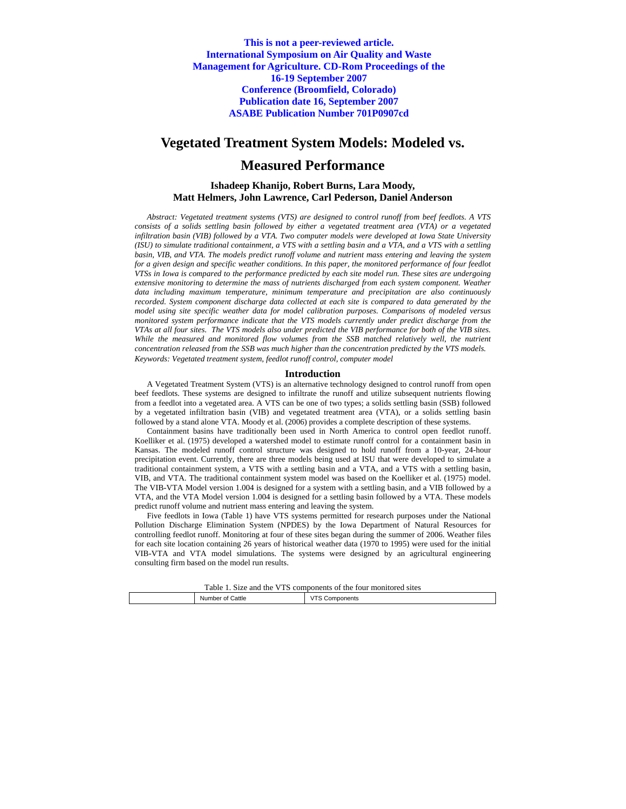**This is not a peer-reviewed article. International Symposium on Air Quality and Waste Management for Agriculture. CD-Rom Proceedings of the 16-19 September 2007 Conference (Broomfield, Colorado) Publication date 16, September 2007 ASABE Publication Number 701P0907cd** 

# **Vegetated Treatment System Models: Modeled vs.**

## **Measured Performance**

### **Ishadeep Khanijo, Robert Burns, Lara Moody, Matt Helmers, John Lawrence, Carl Pederson, Daniel Anderson**

*Abstract: Vegetated treatment systems (VTS) are designed to control runoff from beef feedlots. A VTS consists of a solids settling basin followed by either a vegetated treatment area (VTA) or a vegetated infiltration basin (VIB) followed by a VTA. Two computer models were developed at Iowa State University (ISU) to simulate traditional containment, a VTS with a settling basin and a VTA, and a VTS with a settling basin, VIB, and VTA. The models predict runoff volume and nutrient mass entering and leaving the system for a given design and specific weather conditions. In this paper, the monitored performance of four feedlot VTSs in Iowa is compared to the performance predicted by each site model run. These sites are undergoing extensive monitoring to determine the mass of nutrients discharged from each system component. Weather data including maximum temperature, minimum temperature and precipitation are also continuously recorded. System component discharge data collected at each site is compared to data generated by the model using site specific weather data for model calibration purposes. Comparisons of modeled versus monitored system performance indicate that the VTS models currently under predict discharge from the VTAs at all four sites. The VTS models also under predicted the VIB performance for both of the VIB sites.*  While the measured and monitored flow volumes from the SSB matched relatively well, the nutrient *concentration released from the SSB was much higher than the concentration predicted by the VTS models. Keywords: Vegetated treatment system, feedlot runoff control, computer model* 

#### **Introduction**

A Vegetated Treatment System (VTS) is an alternative technology designed to control runoff from open beef feedlots. These systems are designed to infiltrate the runoff and utilize subsequent nutrients flowing from a feedlot into a vegetated area. A VTS can be one of two types; a solids settling basin (SSB) followed by a vegetated infiltration basin (VIB) and vegetated treatment area (VTA), or a solids settling basin followed by a stand alone VTA. Moody et al. (2006) provides a complete description of these systems.

Containment basins have traditionally been used in North America to control open feedlot runoff. Koelliker et al. (1975) developed a watershed model to estimate runoff control for a containment basin in Kansas. The modeled runoff control structure was designed to hold runoff from a 10-year, 24-hour precipitation event. Currently, there are three models being used at ISU that were developed to simulate a traditional containment system, a VTS with a settling basin and a VTA, and a VTS with a settling basin, VIB, and VTA. The traditional containment system model was based on the Koelliker et al. (1975) model. The VIB-VTA Model version 1.004 is designed for a system with a settling basin, and a VIB followed by a VTA, and the VTA Model version 1.004 is designed for a settling basin followed by a VTA. These models predict runoff volume and nutrient mass entering and leaving the system.

Five feedlots in Iowa (Table 1) have VTS systems permitted for research purposes under the National Pollution Discharge Elimination System (NPDES) by the Iowa Department of Natural Resources for controlling feedlot runoff. Monitoring at four of these sites began during the summer of 2006. Weather files for each site location containing 26 years of historical weather data (1970 to 1995) were used for the initial VIB-VTA and VTA model simulations. The systems were designed by an agricultural engineering consulting firm based on the model run results.

| Table 1. Size and the VTS components of the four monitored sites |                  |                       |  |  |
|------------------------------------------------------------------|------------------|-----------------------|--|--|
|                                                                  | Number of Cattle | <b>VTS Components</b> |  |  |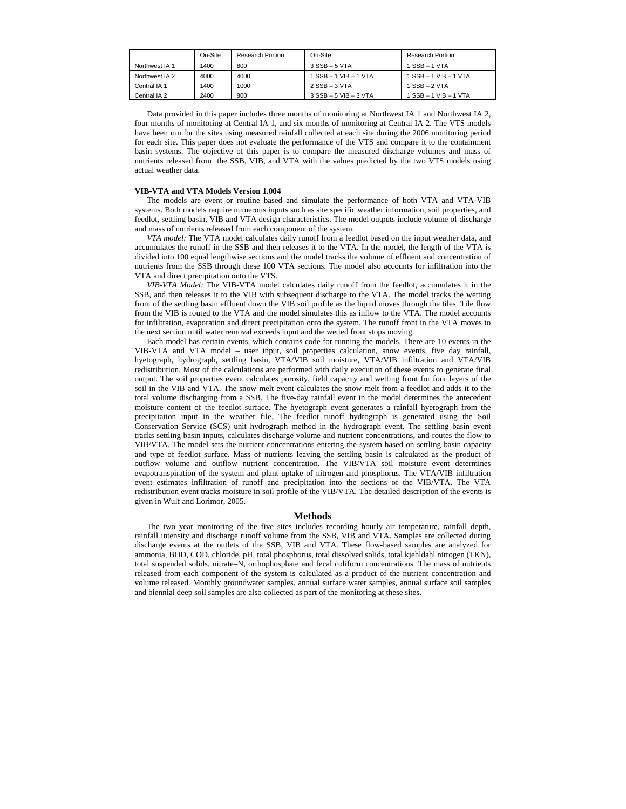|                | On-Site | Research Portion | On-Site                     | Research Portion            |  |
|----------------|---------|------------------|-----------------------------|-----------------------------|--|
| Northwest IA 1 | 1400    | 800              | $3$ SSB $-5$ VTA            | $1$ SSB $-$ 1 VTA           |  |
| Northwest IA 2 | 4000    | 4000             | $1$ SSB $-$ 1 VIB $-$ 1 VTA | $1$ SSB $-$ 1 VIB $-$ 1 VTA |  |
| Central IA 1   | 1400    | 1000             | $2$ SSB – 3 VTA             | $1$ SSB $-$ 2 VTA           |  |
| Central IA 2   | 2400    | 800              | $3$ SSB – 5 VIB – 3 VTA     | $1$ SSB $-$ 1 VIB $-$ 1 VTA |  |

Data provided in this paper includes three months of monitoring at Northwest IA 1 and Northwest IA 2, four months of monitoring at Central IA 1, and six months of monitoring at Central IA 2. The VTS models have been run for the sites using measured rainfall collected at each site during the 2006 monitoring period for each site. This paper does not evaluate the performance of the VTS and compare it to the containment basin systems. The objective of this paper is to compare the measured discharge volumes and mass of nutrients released from the SSB, VIB, and VTA with the values predicted by the two VTS models using actual weather data.

#### **VIB-VTA and VTA Models Version 1.004**

The models are event or routine based and simulate the performance of both VTA and VTA-VIB systems. Both models require numerous inputs such as site specific weather information, soil properties, and feedlot, settling basin, VIB and VTA design characteristics. The model outputs include volume of discharge and mass of nutrients released from each component of the system.

*VTA model:* The VTA model calculates daily runoff from a feedlot based on the input weather data, and accumulates the runoff in the SSB and then releases it to the VTA. In the model, the length of the VTA is divided into 100 equal lengthwise sections and the model tracks the volume of effluent and concentration of nutrients from the SSB through these 100 VTA sections. The model also accounts for infiltration into the VTA and direct precipitation onto the VTS.

*VIB-VTA Model:* The VIB-VTA model calculates daily runoff from the feedlot, accumulates it in the SSB, and then releases it to the VIB with subsequent discharge to the VTA. The model tracks the wetting front of the settling basin effluent down the VIB soil profile as the liquid moves through the tiles. Tile flow from the VIB is routed to the VTA and the model simulates this as inflow to the VTA. The model accounts for infiltration, evaporation and direct precipitation onto the system. The runoff front in the VTA moves to the next section until water removal exceeds input and the wetted front stops moving.

Each model has certain events, which contains code for running the models. There are 10 events in the VIB-VTA and VTA model – user input, soil properties calculation, snow events, five day rainfall, hyetograph, hydrograph, settling basin, VTA/VIB soil moisture, VTA/VIB infiltration and VTA/VIB redistribution. Most of the calculations are performed with daily execution of these events to generate final output. The soil properties event calculates porosity, field capacity and wetting front for four layers of the soil in the VIB and VTA. The snow melt event calculates the snow melt from a feedlot and adds it to the total volume discharging from a SSB. The five-day rainfall event in the model determines the antecedent moisture content of the feedlot surface. The hyetograph event generates a rainfall hyetograph from the precipitation input in the weather file. The feedlot runoff hydrograph is generated using the Soil Conservation Service (SCS) unit hydrograph method in the hydrograph event. The settling basin event tracks settling basin inputs, calculates discharge volume and nutrient concentrations, and routes the flow to VIB/VTA. The model sets the nutrient concentrations entering the system based on settling basin capacity and type of feedlot surface. Mass of nutrients leaving the settling basin is calculated as the product of outflow volume and outflow nutrient concentration. The VIB/VTA soil moisture event determines evapotranspiration of the system and plant uptake of nitrogen and phosphorus. The VTA/VIB infiltration event estimates infiltration of runoff and precipitation into the sections of the VIB/VTA. The VTA redistribution event tracks moisture in soil profile of the VIB/VTA. The detailed description of the events is given in Wulf and Lorimor, 2005.

#### **Methods**

The two year monitoring of the five sites includes recording hourly air temperature, rainfall depth, rainfall intensity and discharge runoff volume from the SSB, VIB and VTA. Samples are collected during discharge events at the outlets of the SSB, VIB and VTA. These flow-based samples are analyzed for ammonia, BOD, COD, chloride, pH, total phosphorus, total dissolved solids, total kjehldahl nitrogen (TKN), total suspended solids, nitrate–N, orthophosphate and fecal coliform concentrations. The mass of nutrients released from each component of the system is calculated as a product of the nutrient concentration and volume released. Monthly groundwater samples, annual surface water samples, annual surface soil samples and biennial deep soil samples are also collected as part of the monitoring at these sites.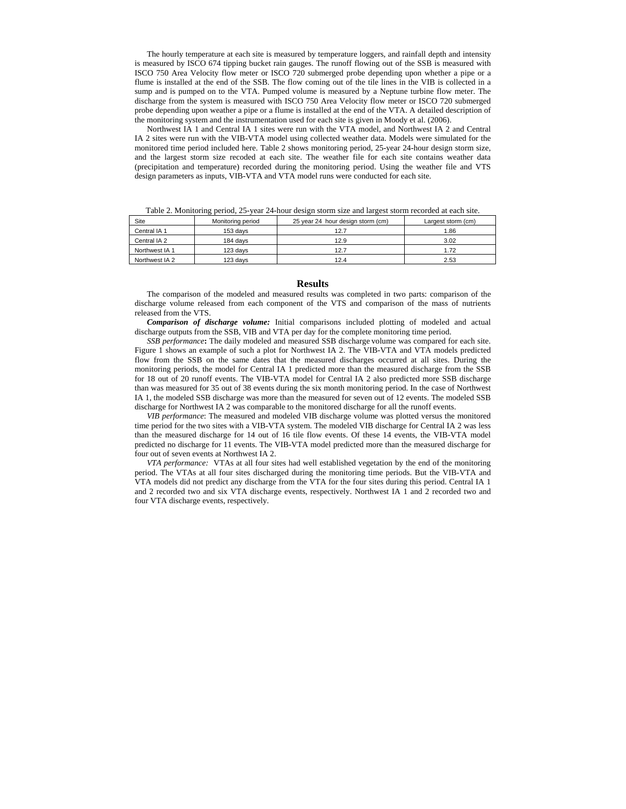The hourly temperature at each site is measured by temperature loggers, and rainfall depth and intensity is measured by ISCO 674 tipping bucket rain gauges. The runoff flowing out of the SSB is measured with ISCO 750 Area Velocity flow meter or ISCO 720 submerged probe depending upon whether a pipe or a flume is installed at the end of the SSB. The flow coming out of the tile lines in the VIB is collected in a sump and is pumped on to the VTA. Pumped volume is measured by a Neptune turbine flow meter. The discharge from the system is measured with ISCO 750 Area Velocity flow meter or ISCO 720 submerged probe depending upon weather a pipe or a flume is installed at the end of the VTA. A detailed description of the monitoring system and the instrumentation used for each site is given in Moody et al. (2006).

Northwest IA 1 and Central IA 1 sites were run with the VTA model, and Northwest IA 2 and Central IA 2 sites were run with the VIB-VTA model using collected weather data. Models were simulated for the monitored time period included here. Table 2 shows monitoring period, 25-year 24-hour design storm size, and the largest storm size recoded at each site. The weather file for each site contains weather data (precipitation and temperature) recorded during the monitoring period. Using the weather file and VTS design parameters as inputs, VIB-VTA and VTA model runs were conducted for each site.

| Site           | Monitoring period | 25 year 24 hour design storm (cm) | Largest storm (cm) |
|----------------|-------------------|-----------------------------------|--------------------|
| Central IA 1   | 153 davs          | 12.7                              | 1.86               |
| Central IA 2   | 184 days          | 12.9                              | 3.02               |
| Northwest IA 1 | 123 davs          | 12.7                              | 1.72               |
| Northwest IA 2 | 123 davs          | 12.4                              | 2.53               |

Table 2. Monitoring period, 25-year 24-hour design storm size and largest storm recorded at each site.

#### **Results**

The comparison of the modeled and measured results was completed in two parts: comparison of the discharge volume released from each component of the VTS and comparison of the mass of nutrients released from the VTS.

*Comparison of discharge volume:* Initial comparisons included plotting of modeled and actual discharge outputs from the SSB, VIB and VTA per day for the complete monitoring time period.

*SSB performance***:** The daily modeled and measured SSB discharge volume was compared for each site. Figure 1 shows an example of such a plot for Northwest IA 2. The VIB-VTA and VTA models predicted flow from the SSB on the same dates that the measured discharges occurred at all sites. During the monitoring periods, the model for Central IA 1 predicted more than the measured discharge from the SSB for 18 out of 20 runoff events. The VIB-VTA model for Central IA 2 also predicted more SSB discharge than was measured for 35 out of 38 events during the six month monitoring period. In the case of Northwest IA 1, the modeled SSB discharge was more than the measured for seven out of 12 events. The modeled SSB discharge for Northwest IA 2 was comparable to the monitored discharge for all the runoff events.

*VIB performance*: The measured and modeled VIB discharge volume was plotted versus the monitored time period for the two sites with a VIB-VTA system. The modeled VIB discharge for Central IA 2 was less than the measured discharge for 14 out of 16 tile flow events. Of these 14 events, the VIB-VTA model predicted no discharge for 11 events. The VIB-VTA model predicted more than the measured discharge for four out of seven events at Northwest IA 2.

*VTA performance:* VTAs at all four sites had well established vegetation by the end of the monitoring period. The VTAs at all four sites discharged during the monitoring time periods. But the VIB-VTA and VTA models did not predict any discharge from the VTA for the four sites during this period. Central IA 1 and 2 recorded two and six VTA discharge events, respectively. Northwest IA 1 and 2 recorded two and four VTA discharge events, respectively.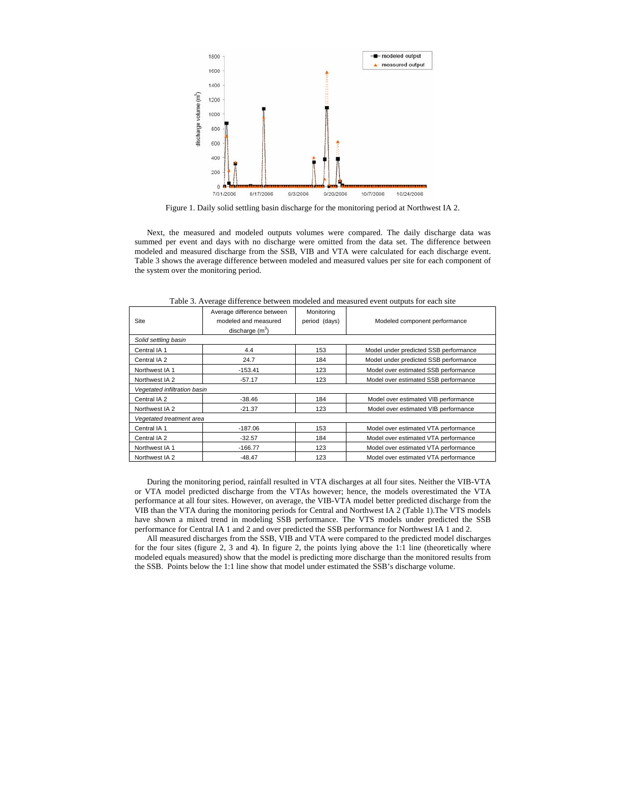

Figure 1. Daily solid settling basin discharge for the monitoring period at Northwest IA 2.

Next, the measured and modeled outputs volumes were compared. The daily discharge data was summed per event and days with no discharge were omitted from the data set. The difference between modeled and measured discharge from the SSB, VIB and VTA were calculated for each discharge event. Table 3 shows the average difference between modeled and measured values per site for each component of the system over the monitoring period.

| Site                         | Average difference between<br>modeled and measured<br>discharge $(m^3)$ | Monitoring<br>period (days) | Modeled component performance         |  |
|------------------------------|-------------------------------------------------------------------------|-----------------------------|---------------------------------------|--|
| Solid settling basin         |                                                                         |                             |                                       |  |
| Central IA 1                 | 4.4                                                                     | 153                         | Model under predicted SSB performance |  |
| Central IA 2                 | 24.7                                                                    | 184                         | Model under predicted SSB performance |  |
| Northwest IA 1               | $-153.41$                                                               | 123                         | Model over estimated SSB performance  |  |
| Northwest IA 2               | $-57.17$                                                                | 123                         | Model over estimated SSB performance  |  |
| Vegetated infiltration basin |                                                                         |                             |                                       |  |
| Central IA 2                 | $-38.46$                                                                | 184                         | Model over estimated VIB performance  |  |
| Northwest IA 2               | $-21.37$                                                                | 123                         | Model over estimated VIB performance  |  |
| Vegetated treatment area     |                                                                         |                             |                                       |  |
| Central IA 1                 | $-187.06$                                                               | 153                         | Model over estimated VTA performance  |  |
| Central IA 2                 | $-32.57$                                                                | 184                         | Model over estimated VTA performance  |  |
| Northwest IA 1               | $-166.77$                                                               | 123                         | Model over estimated VTA performance  |  |
| Northwest IA 2               | $-48.47$                                                                | 123                         | Model over estimated VTA performance  |  |

Table 3. Average difference between modeled and measured event outputs for each site

During the monitoring period, rainfall resulted in VTA discharges at all four sites. Neither the VIB-VTA or VTA model predicted discharge from the VTAs however; hence, the models overestimated the VTA performance at all four sites. However, on average, the VIB-VTA model better predicted discharge from the VIB than the VTA during the monitoring periods for Central and Northwest IA 2 (Table 1).The VTS models have shown a mixed trend in modeling SSB performance. The VTS models under predicted the SSB performance for Central IA 1 and 2 and over predicted the SSB performance for Northwest IA 1 and 2.

All measured discharges from the SSB, VIB and VTA were compared to the predicted model discharges for the four sites (figure 2, 3 and 4). In figure 2, the points lying above the 1:1 line (theoretically where modeled equals measured) show that the model is predicting more discharge than the monitored results from the SSB. Points below the 1:1 line show that model under estimated the SSB's discharge volume.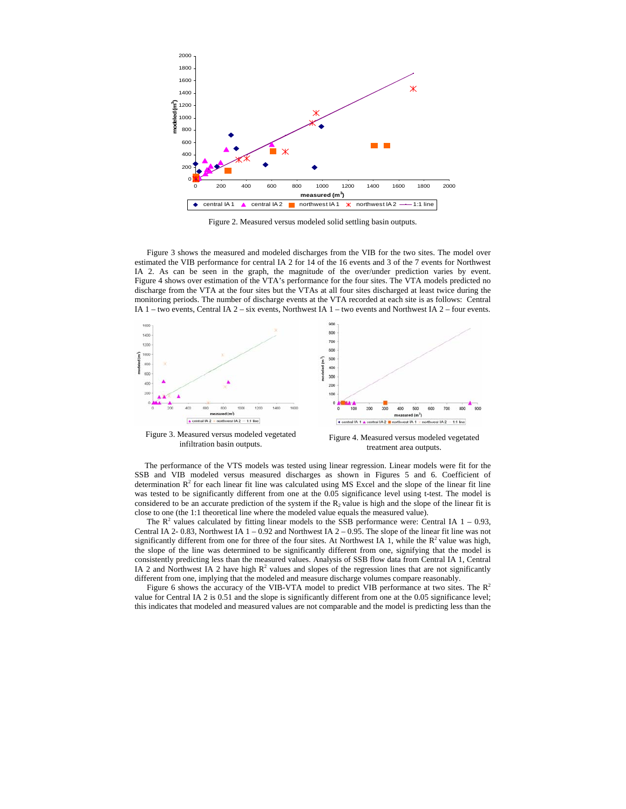

Figure 2. Measured versus modeled solid settling basin outputs.

Figure 3 shows the measured and modeled discharges from the VIB for the two sites. The model over estimated the VIB performance for central IA 2 for 14 of the 16 events and 3 of the 7 events for Northwest IA 2. As can be seen in the graph, the magnitude of the over/under prediction varies by event. Figure 4 shows over estimation of the VTA's performance for the four sites. The VTA models predicted no discharge from the VTA at the four sites but the VTAs at all four sites discharged at least twice during the monitoring periods. The number of discharge events at the VTA recorded at each site is as follows: Central IA 1 – two events, Central IA 2 – six events, Northwest IA 1 – two events and Northwest IA 2 – four events.



The performance of the VTS models was tested using linear regression. Linear models were fit for the SSB and VIB modeled versus measured discharges as shown in Figures 5 and 6. Coefficient of determination  $R^2$  for each linear fit line was calculated using MS Excel and the slope of the linear fit line was tested to be significantly different from one at the 0.05 significance level using t-test. The model is considered to be an accurate prediction of the system if the  $R_2$  value is high and the slope of the linear fit is close to one (the 1:1 theoretical line where the modeled value equals the measured value).

The  $\mathbb{R}^2$  values calculated by fitting linear models to the SSB performance were: Central IA 1 – 0.93, Central IA 2- 0.83, Northwest IA  $1 - 0.92$  and Northwest IA  $2 - 0.95$ . The slope of the linear fit line was not significantly different from one for three of the four sites. At Northwest IA 1, while the  $R^2$  value was high, the slope of the line was determined to be significantly different from one, signifying that the model is consistently predicting less than the measured values. Analysis of SSB flow data from Central IA 1, Central IA 2 and Northwest IA 2 have high  $R^2$  values and slopes of the regression lines that are not significantly different from one, implying that the modeled and measure discharge volumes compare reasonably.

Figure 6 shows the accuracy of the VIB-VTA model to predict VIB performance at two sites. The  $R^2$ value for Central IA 2 is 0.51 and the slope is significantly different from one at the 0.05 significance level; this indicates that modeled and measured values are not comparable and the model is predicting less than the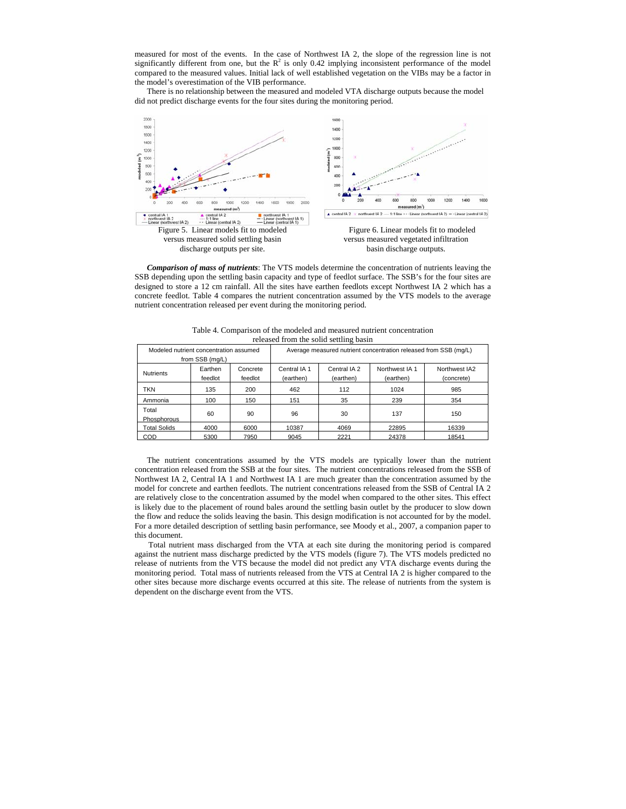measured for most of the events. In the case of Northwest IA 2, the slope of the regression line is not significantly different from one, but the  $R<sup>2</sup>$  is only 0.42 implying inconsistent performance of the model compared to the measured values. Initial lack of well established vegetation on the VIBs may be a factor in the model's overestimation of the VIB performance.

There is no relationship between the measured and modeled VTA discharge outputs because the model did not predict discharge events for the four sites during the monitoring period.



*Comparison of mass of nutrients*: The VTS models determine the concentration of nutrients leaving the SSB depending upon the settling basin capacity and type of feedlot surface. The SSB's for the four sites are designed to store a 12 cm rainfall. All the sites have earthen feedlots except Northwest IA 2 which has a concrete feedlot. Table 4 compares the nutrient concentration assumed by the VTS models to the average nutrient concentration released per event during the monitoring period.

|                                        |                    |                                                                  |                           | released from the solid settling basin |                             |                             |
|----------------------------------------|--------------------|------------------------------------------------------------------|---------------------------|----------------------------------------|-----------------------------|-----------------------------|
| Modeled nutrient concentration assumed |                    | Average measured nutrient concentration released from SSB (mg/L) |                           |                                        |                             |                             |
| from SSB (mq/L)                        |                    |                                                                  |                           |                                        |                             |                             |
| <b>Nutrients</b>                       | Earthen<br>feedlot | Concrete<br>feedlot                                              | Central IA 1<br>(earthen) | Central IA 2<br>(earthen)              | Northwest IA 1<br>(earthen) | Northwest IA2<br>(concrete) |
| <b>TKN</b>                             | 135                | 200                                                              | 462                       | 112                                    | 1024                        | 985                         |
| Ammonia                                | 100                | 150                                                              | 151                       | 35                                     | 239                         | 354                         |
| Total<br>Phosphorous                   | 60                 | 90                                                               | 96                        | 30                                     | 137                         | 150                         |
| <b>Total Solids</b>                    | 4000               | 6000                                                             | 10387                     | 4069                                   | 22895                       | 16339                       |
| COD                                    | 5300               | 7950                                                             | 9045                      | 2221                                   | 24378                       | 18541                       |

Table 4. Comparison of the modeled and measured nutrient concentration

The nutrient concentrations assumed by the VTS models are typically lower than the nutrient concentration released from the SSB at the four sites. The nutrient concentrations released from the SSB of Northwest IA 2, Central IA 1 and Northwest IA 1 are much greater than the concentration assumed by the model for concrete and earthen feedlots. The nutrient concentrations released from the SSB of Central IA 2 are relatively close to the concentration assumed by the model when compared to the other sites. This effect is likely due to the placement of round bales around the settling basin outlet by the producer to slow down the flow and reduce the solids leaving the basin. This design modification is not accounted for by the model. For a more detailed description of settling basin performance, see Moody et al., 2007, a companion paper to this document.

Total nutrient mass discharged from the VTA at each site during the monitoring period is compared against the nutrient mass discharge predicted by the VTS models (figure 7). The VTS models predicted no release of nutrients from the VTS because the model did not predict any VTA discharge events during the monitoring period. Total mass of nutrients released from the VTS at Central IA 2 is higher compared to the other sites because more discharge events occurred at this site. The release of nutrients from the system is dependent on the discharge event from the VTS.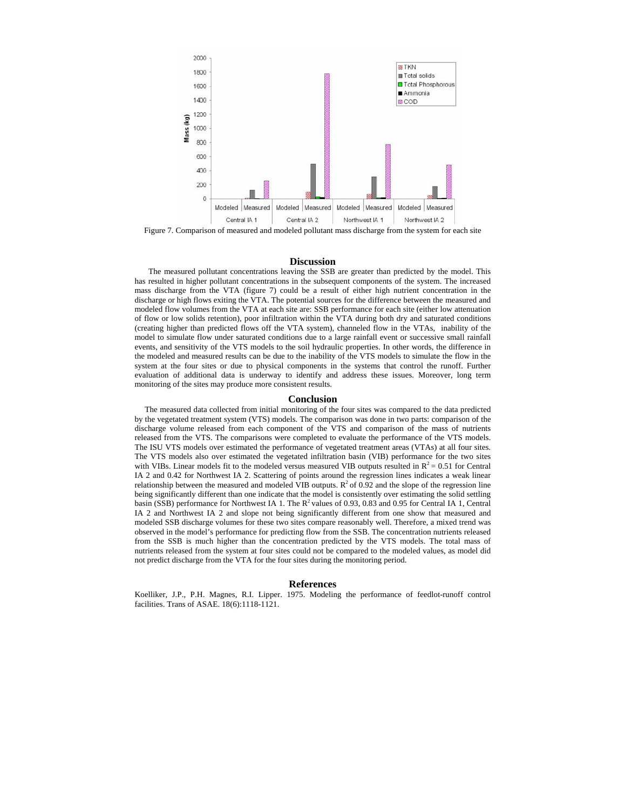

Figure 7. Comparison of measured and modeled pollutant mass discharge from the system for each site

#### **Discussion**

The measured pollutant concentrations leaving the SSB are greater than predicted by the model. This has resulted in higher pollutant concentrations in the subsequent components of the system. The increased mass discharge from the VTA (figure 7) could be a result of either high nutrient concentration in the discharge or high flows exiting the VTA. The potential sources for the difference between the measured and modeled flow volumes from the VTA at each site are: SSB performance for each site (either low attenuation of flow or low solids retention), poor infiltration within the VTA during both dry and saturated conditions (creating higher than predicted flows off the VTA system), channeled flow in the VTAs, inability of the model to simulate flow under saturated conditions due to a large rainfall event or successive small rainfall events, and sensitivity of the VTS models to the soil hydraulic properties. In other words, the difference in the modeled and measured results can be due to the inability of the VTS models to simulate the flow in the system at the four sites or due to physical components in the systems that control the runoff. Further evaluation of additional data is underway to identify and address these issues. Moreover, long term monitoring of the sites may produce more consistent results.

#### **Conclusion**

The measured data collected from initial monitoring of the four sites was compared to the data predicted by the vegetated treatment system (VTS) models. The comparison was done in two parts: comparison of the discharge volume released from each component of the VTS and comparison of the mass of nutrients released from the VTS. The comparisons were completed to evaluate the performance of the VTS models. The ISU VTS models over estimated the performance of vegetated treatment areas (VTAs) at all four sites. The VTS models also over estimated the vegetated infiltration basin (VIB) performance for the two sites with VIBs. Linear models fit to the modeled versus measured VIB outputs resulted in  $R^2 = 0.51$  for Central IA 2 and 0.42 for Northwest IA 2. Scattering of points around the regression lines indicates a weak linear relationship between the measured and modeled VIB outputs.  $R^2$  of 0.92 and the slope of the regression line being significantly different than one indicate that the model is consistently over estimating the solid settling basin (SSB) performance for Northwest IA 1. The  $R^2$  values of 0.93, 0.83 and 0.95 for Central IA 1, Central IA 2 and Northwest IA 2 and slope not being significantly different from one show that measured and modeled SSB discharge volumes for these two sites compare reasonably well. Therefore, a mixed trend was observed in the model's performance for predicting flow from the SSB. The concentration nutrients released from the SSB is much higher than the concentration predicted by the VTS models. The total mass of nutrients released from the system at four sites could not be compared to the modeled values, as model did not predict discharge from the VTA for the four sites during the monitoring period.

#### **References**

Koelliker, J.P., P.H. Magnes, R.I. Lipper. 1975. Modeling the performance of feedlot-runoff control facilities. Trans of ASAE. 18(6):1118-1121.